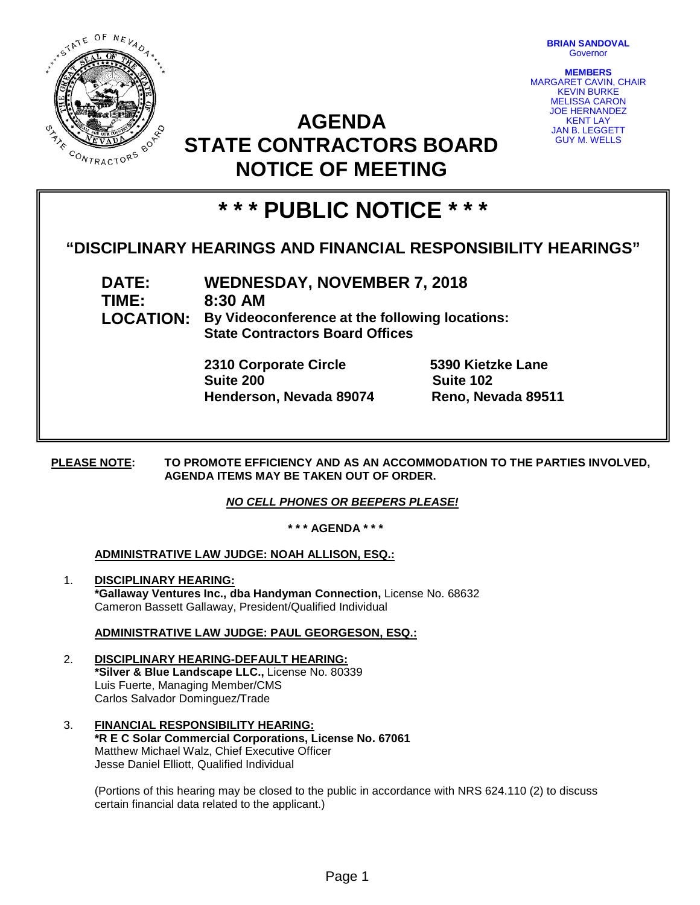

**BRIAN SANDOVAL Governor** 

**MEMBERS** MARGARET CAVIN, CHAIR KEVIN BURKE MELISSA CARON JOE HERNANDEZ KENT LAY JAN B. LEGGETT GUY M. WELLS

# **AGENDA STATE CONTRACTORS BOARD NOTICE OF MEETING**

# **\* \* \* PUBLIC NOTICE \* \* \***

# **"DISCIPLINARY HEARINGS AND FINANCIAL RESPONSIBILITY HEARINGS"**

**DATE: WEDNESDAY, NOVEMBER 7, 2018 TIME: 8:30 AM LOCATION: By Videoconference at the following locations: State Contractors Board Offices**

> **2310 Corporate Circle 5390 Kietzke Lane Suite 200 Suite 102 Henderson, Nevada 89074**

**PLEASE NOTE: TO PROMOTE EFFICIENCY AND AS AN ACCOMMODATION TO THE PARTIES INVOLVED, AGENDA ITEMS MAY BE TAKEN OUT OF ORDER.**

## *NO CELL PHONES OR BEEPERS PLEASE!*

**\* \* \* AGENDA \* \* \***

## **ADMINISTRATIVE LAW JUDGE: NOAH ALLISON, ESQ.:**

1. **DISCIPLINARY HEARING: \*Gallaway Ventures Inc., dba Handyman Connection,** License No. 68632 Cameron Bassett Gallaway, President/Qualified Individual

### **ADMINISTRATIVE LAW JUDGE: PAUL GEORGESON, ESQ.:**

- 2. **DISCIPLINARY HEARING-DEFAULT HEARING: \*Silver & Blue Landscape LLC.,** License No. 80339 Luis Fuerte, Managing Member/CMS Carlos Salvador Dominguez/Trade
- 3. **FINANCIAL RESPONSIBILITY HEARING: \*R E C Solar Commercial Corporations, License No. 67061** Matthew Michael Walz, Chief Executive Officer Jesse Daniel Elliott, Qualified Individual

(Portions of this hearing may be closed to the public in accordance with NRS 624.110 (2) to discuss certain financial data related to the applicant.)